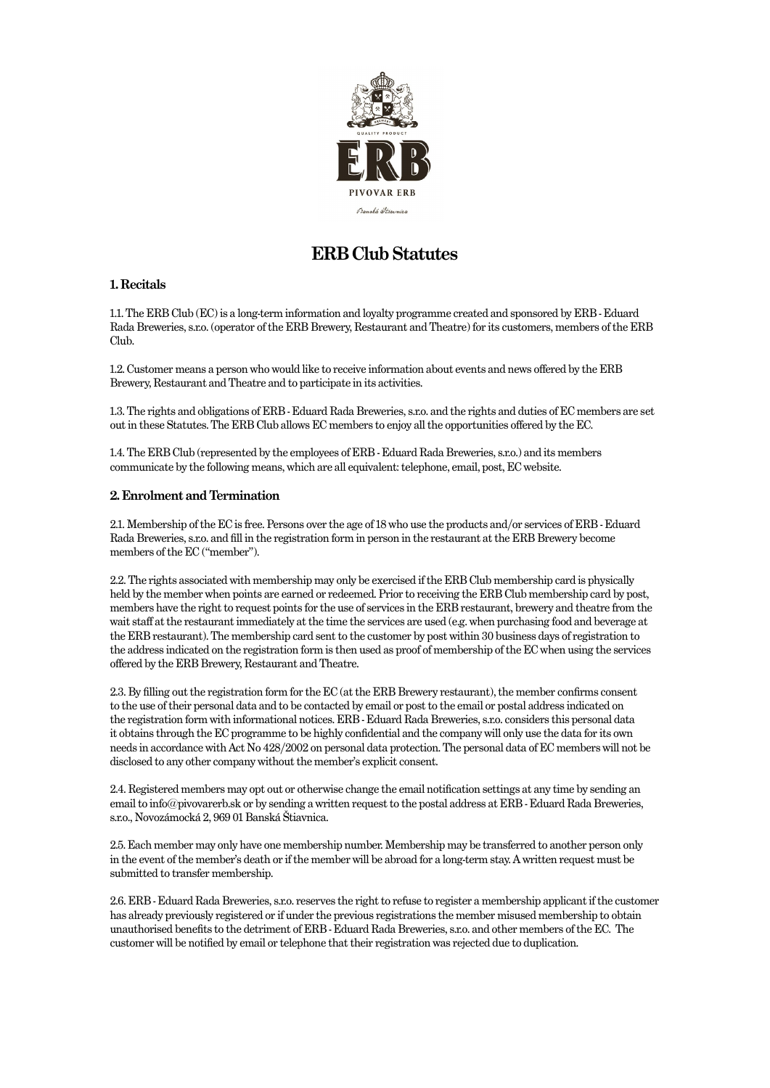

# **ERB Club Statutes**

## **1. Recitals**

1.1. The ERB Club (EC) is a long-term information and loyalty programme created and sponsored by ERB - Eduard Rada Breweries, s.r.o. (operator of the ERB Brewery, Restaurant and Theatre) for its customers, members of the ERB Club.

1.2. Customer means a person who would like to receive information about events and news offered by the ERB Brewery, Restaurant and Theatre and to participate in its activities.

1.3. The rights and obligations of ERB - Eduard Rada Breweries, s.r.o. and the rights and duties of EC members are set out in these Statutes. The ERB Club allows EC members to enjoy all the opportunities offered by the EC.

1.4. The ERB Club (represented by the employees of ERB - Eduard Rada Breweries, s.r.o.) and its members communicate by the following means, which are all equivalent: telephone, email, post, EC website.

### **2. Enrolment and Termination**

2.1. Membership of the EC is free. Persons over the age of 18 who use the products and/or services of ERB - Eduard Rada Breweries, s.r.o. and fill in the registration form in person in the restaurant at the ERB Brewery become members of the EC ("member").

2.2. The rights associated with membership may only be exercised if the ERB Club membership card is physically held by the member when points are earned or redeemed. Prior to receiving the ERB Club membership card by post, members have the right to request points for the use of services in the ERB restaurant, brewery and theatre from the wait staff at the restaurant immediately at the time the services are used (e.g. when purchasing food and beverage at the ERB restaurant). The membership card sent to the customer by post within 30 business days of registration to the address indicated on the registration form is then used as proof of membership of the EC when using the services offered by the ERB Brewery, Restaurant and Theatre.

2.3. By filling out the registration form for the EC (at the ERB Brewery restaurant), the member confirms consent to the use of their personal data and to be contacted by email or post to the email or postal address indicated on the registration form with informational notices. ERB - Eduard Rada Breweries, s.r.o. considers this personal data it obtains through the EC programme to be highly confidential and the company will only use the data for its own needs in accordance with Act No 428/2002 on personal data protection. The personal data of EC members will not be disclosed to any other company without the member's explicit consent.

2.4. Registered members may opt out or otherwise change the email notification settings at any time by sending an email to info@pivovarerb.sk or by sending a written request to the postal address at ERB - Eduard Rada Breweries, s.r.o., Novozámocká 2, 969 01 Banská Štiavnica.

2.5. Each member may only have one membership number. Membership may be transferred to another person only in the event of the member's death or if the member will be abroad for a long-term stay. A written request must be submitted to transfer membership.

2.6. ERB - Eduard Rada Breweries, s.r.o. reserves the right to refuse to register a membership applicant if the customer has already previously registered or if under the previous registrations the member misused membership to obtain unauthorised benefits to the detriment of ERB - Eduard Rada Breweries, s.r.o. and other members of the EC. The customer will be notified by email or telephone that their registration was rejected due to duplication.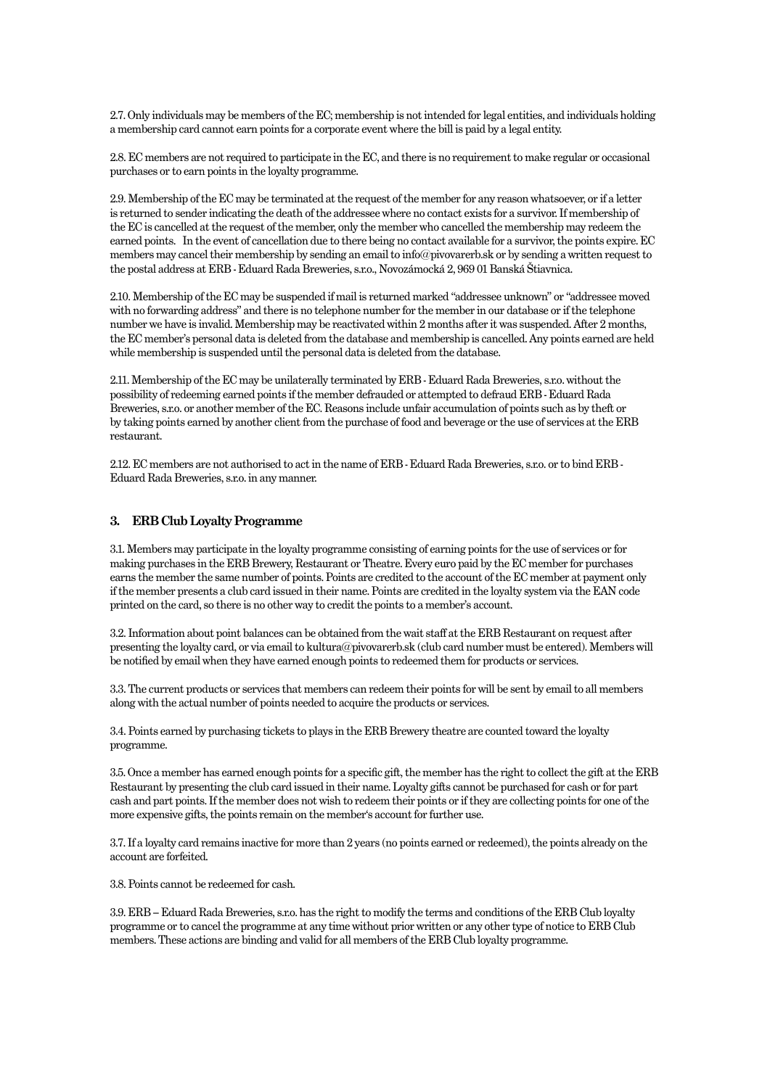2.7. Only individuals may be members of the EC; membership is not intended for legal entities, and individuals holding a membership card cannot earn points for a corporate event where the bill is paid by a legal entity.

2.8. EC members are not required to participate in the EC, and there is no requirement to make regular or occasional purchases or to earn points in the loyalty programme.

2.9. Membership of the EC may be terminated at the request of the member for any reason whatsoever, or if a letter is returned to sender indicating the death of the addressee where no contact exists for a survivor. If membership of the EC is cancelled at the request of the member, only the member who cancelled the membership may redeem the earned points. In the event of cancellation due to there being no contact available for a survivor, the points expire. EC members may cancel their membership by sending an email to info@pivovarerb.sk or by sending a written request to the postal address at ERB - Eduard Rada Breweries, s.r.o., Novozámocká 2, 969 01 Banská Štiavnica.

2.10. Membership of the EC may be suspended if mail is returned marked "addressee unknown" or "addressee moved with no forwarding address" and there is no telephone number for the member in our database or if the telephone number we have is invalid. Membership may be reactivated within 2 months after it was suspended. After 2 months, the EC member's personal data is deleted from the database and membership is cancelled. Any points earned are held while membership is suspended until the personal data is deleted from the database.

2.11. Membership of the EC may be unilaterally terminated by ERB - Eduard Rada Breweries, s.r.o. without the possibility of redeeming earned points if the member defrauded or attempted to defraud ERB - Eduard Rada Breweries, s.r.o. or another member of the EC. Reasons include unfair accumulation of points such as by theft or by taking points earned by another client from the purchase of food and beverage or the use of services at the ERB restaurant.

2.12. EC members are not authorised to act in the name of ERB - Eduard Rada Breweries, s.r.o. or to bind ERB - Eduard Rada Breweries, s.r.o. in any manner.

#### **3. ERB Club Loyalty Programme**

3.1. Members may participate in the loyalty programme consisting of earning points for the use of services or for making purchases in the ERB Brewery, Restaurant or Theatre. Every euro paid by the EC member for purchases earns the member the same number of points. Points are credited to the account of the EC member at payment only if the member presents a club card issued in their name. Points are credited in the loyalty system via the EAN code printed on the card, so there is no other way to credit the points to a member's account.

3.2. Information about point balances can be obtained from the wait staff at the ERB Restaurant on request after presenting the loyalty card, or via email to kultura@pivovarerb.sk (club card number must be entered). Members will be notified by email when they have earned enough points to redeemed them for products or services.

3.3. The current products or services that members can redeem their points for will be sent by email to all members along with the actual number of points needed to acquire the products or services.

3.4. Points earned by purchasing tickets to plays in the ERB Brewery theatre are counted toward the loyalty programme.

3.5. Once a member has earned enough points for a specific gift, the member has the right to collect the gift at the ERB Restaurant by presenting the club card issued in their name. Loyalty gifts cannot be purchased for cash or for part cash and part points. If the member does not wish to redeem their points or if they are collecting points for one of the more expensive gifts, the points remain on the member's account for further use.

3.7. If a loyalty card remains inactive for more than 2 years (no points earned or redeemed), the points already on the account are forfeited.

3.8. Points cannot be redeemed for cash.

3.9. ERB – Eduard Rada Breweries, s.r.o. has the right to modify the terms and conditions of the ERB Club loyalty programme or to cancel the programme at any time without prior written or any other type of notice to ERB Club members. These actions are binding and valid for all members of the ERB Club loyalty programme.